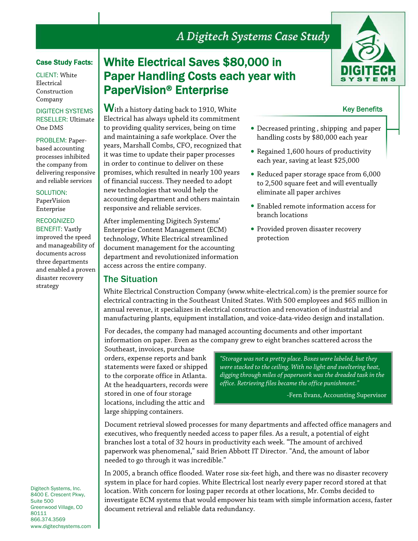# A Digitech Systems Case Study

### Case Study Facts:

CLIENT: White Electrical Construction Company

DIGITECH SYSTEMS RESELLER: Ultimate One DMS

PROBLEM: Paperbased accounting processes inhibited the company from delivering responsive and reliable services

SOLUTION: PaperVision Enterprise

#### RECOGNIZED BENEFIT: Vastly

improved the speed and manageability of documents across three departments and enabled a proven disaster recovery strategy

# White Electrical Saves \$80,000 in Paper Handling Costs each year with PaperVision® Enterprise

With a history dating back to 1910, White Electrical has always upheld its commitment to providing quality services, being on time and maintaining a safe workplace. Over the

it was time to update their paper processes in order to continue to deliver on these promises, which resulted in nearly 100 years of financial success. They needed to adopt new technologies that would help the

accounting department and others maintain

responsive and reliable services.

access across the entire company.

The Situation

After implementing Digitech Systems' Enterprise Content Management (ECM) technology, White Electrical streamlined document management for the accounting department and revolutionized information



### Key Benefits

- years, Marshall Combs, CFO, recognized that • Decreased printing , shipping and paper handling costs by \$80,000 each year
	- Regained 1,600 hours of productivity each year, saving at least \$25,000
	- Reduced paper storage space from 6,000 to 2,500 square feet and will eventually eliminate all paper archives
	- Enabled remote information access for branch locations
	- Provided proven disaster recovery protection

White Electrical Construction Company (www.white-electrical.com) is the premier source for electrical contracting in the Southeast United States. With 500 employees and \$65 million in annual revenue, it specializes in electrical construction and renovation of industrial and manufacturing plants, equipment installation, and voice-data-video design and installation.

For decades, the company had managed accounting documents and other important information on paper. Even as the company grew to eight branches scattered across the

Southeast, invoices, purchase orders, expense reports and bank statements were faxed or shipped to the corporate office in Atlanta. At the headquarters, records were stored in one of four storage locations, including the attic and large shipping containers.

*"Storage was not a pretty place. Boxes were labeled, but they were stacked to the ceiling. With no light and sweltering heat, digging through miles of paperwork was the dreaded task in the office. Retrieving files became the office punishment."*

-Fern Evans, Accounting Supervisor

Document retrieval slowed processes for many departments and affected office managers and executives, who frequently needed access to paper files. As a result, a potential of eight branches lost a total of 32 hours in productivity each week. "The amount of archived paperwork was phenomenal," said Brien Abbott IT Director. "And, the amount of labor needed to go through it was incredible."

In 2005, a branch office flooded. Water rose six-feet high, and there was no disaster recovery system in place for hard copies. White Electrical lost nearly every paper record stored at that location. With concern for losing paper records at other locations, Mr. Combs decided to investigate ECM systems that would empower his team with simple information access, faster document retrieval and reliable data redundancy.

Digitech Systems, Inc. 8400 E. Crescent Pkwy, Suite 500 Greenwood Village, CO 80111 866.374.3569 www.digitechsystems.com